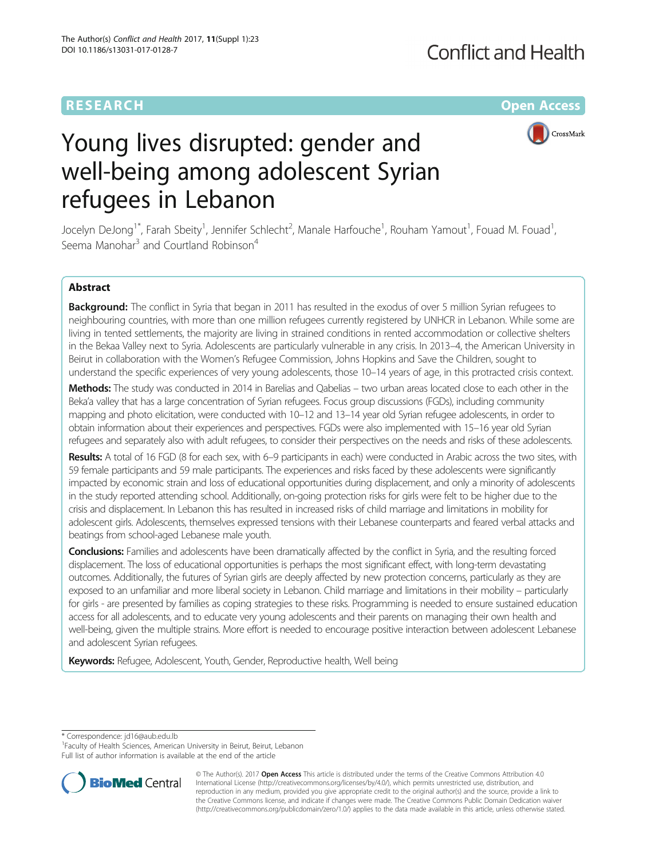# **RESEARCH CHEAR CHEAR CHEAR CHEAR CHEAR CHEAR CHEAR CHEAR CHEAR CHEAR CHEAR CHEAR CHEAR CHEAR CHEAR CHEAR CHEAR**



# Young lives disrupted: gender and well-being among adolescent Syrian refugees in Lebanon

Jocelyn DeJong<sup>1\*</sup>, Farah Sbeity<sup>1</sup>, Jennifer Schlecht<sup>2</sup>, Manale Harfouche<sup>1</sup>, Rouham Yamout<sup>1</sup>, Fouad M. Fouad<sup>1</sup> , Seema Manohar<sup>3</sup> and Courtland Robinson<sup>4</sup>

# Abstract

Background: The conflict in Syria that began in 2011 has resulted in the exodus of over 5 million Syrian refugees to neighbouring countries, with more than one million refugees currently registered by UNHCR in Lebanon. While some are living in tented settlements, the majority are living in strained conditions in rented accommodation or collective shelters in the Bekaa Valley next to Syria. Adolescents are particularly vulnerable in any crisis. In 2013–4, the American University in Beirut in collaboration with the Women's Refugee Commission, Johns Hopkins and Save the Children, sought to understand the specific experiences of very young adolescents, those 10–14 years of age, in this protracted crisis context.

Methods: The study was conducted in 2014 in Barelias and Qabelias – two urban areas located close to each other in the Beka'a valley that has a large concentration of Syrian refugees. Focus group discussions (FGDs), including community mapping and photo elicitation, were conducted with 10–12 and 13–14 year old Syrian refugee adolescents, in order to obtain information about their experiences and perspectives. FGDs were also implemented with 15–16 year old Syrian refugees and separately also with adult refugees, to consider their perspectives on the needs and risks of these adolescents.

Results: A total of 16 FGD (8 for each sex, with 6–9 participants in each) were conducted in Arabic across the two sites, with 59 female participants and 59 male participants. The experiences and risks faced by these adolescents were significantly impacted by economic strain and loss of educational opportunities during displacement, and only a minority of adolescents in the study reported attending school. Additionally, on-going protection risks for girls were felt to be higher due to the crisis and displacement. In Lebanon this has resulted in increased risks of child marriage and limitations in mobility for adolescent girls. Adolescents, themselves expressed tensions with their Lebanese counterparts and feared verbal attacks and beatings from school-aged Lebanese male youth.

Conclusions: Families and adolescents have been dramatically affected by the conflict in Syria, and the resulting forced displacement. The loss of educational opportunities is perhaps the most significant effect, with long-term devastating outcomes. Additionally, the futures of Syrian girls are deeply affected by new protection concerns, particularly as they are exposed to an unfamiliar and more liberal society in Lebanon. Child marriage and limitations in their mobility – particularly for girls - are presented by families as coping strategies to these risks. Programming is needed to ensure sustained education access for all adolescents, and to educate very young adolescents and their parents on managing their own health and well-being, given the multiple strains. More effort is needed to encourage positive interaction between adolescent Lebanese and adolescent Syrian refugees.

Keywords: Refugee, Adolescent, Youth, Gender, Reproductive health, Well being

\* Correspondence: [jd16@aub.edu.lb](mailto:jd16@aub.edu.lb) <sup>1</sup>

<sup>1</sup> Faculty of Health Sciences, American University in Beirut, Beirut, Lebanon Full list of author information is available at the end of the article



© The Author(s). 2017 **Open Access** This article is distributed under the terms of the Creative Commons Attribution 4.0 International License [\(http://creativecommons.org/licenses/by/4.0/](http://creativecommons.org/licenses/by/4.0/)), which permits unrestricted use, distribution, and reproduction in any medium, provided you give appropriate credit to the original author(s) and the source, provide a link to the Creative Commons license, and indicate if changes were made. The Creative Commons Public Domain Dedication waiver [\(http://creativecommons.org/publicdomain/zero/1.0/](http://creativecommons.org/publicdomain/zero/1.0/)) applies to the data made available in this article, unless otherwise stated.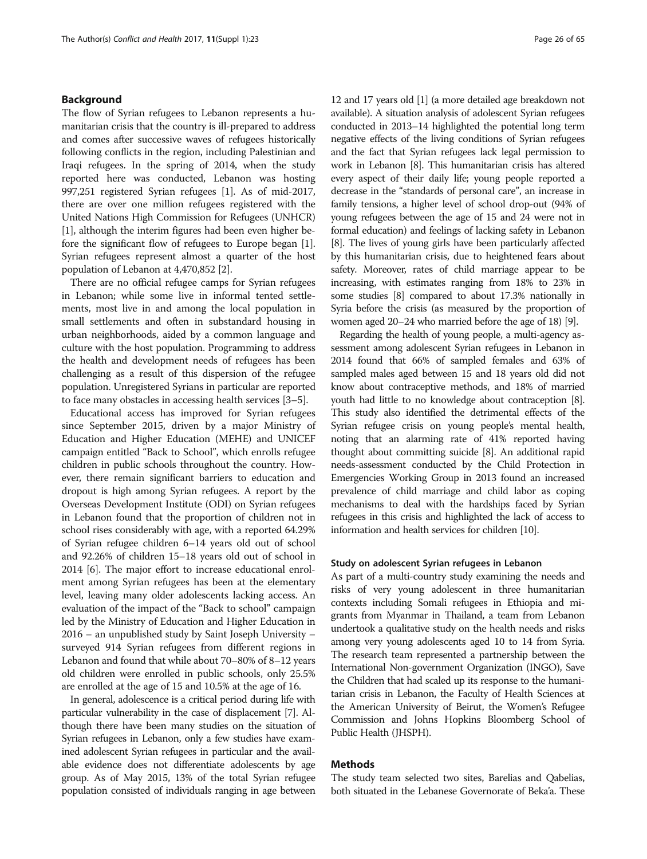## Background

The flow of Syrian refugees to Lebanon represents a humanitarian crisis that the country is ill-prepared to address and comes after successive waves of refugees historically following conflicts in the region, including Palestinian and Iraqi refugees. In the spring of 2014, when the study reported here was conducted, Lebanon was hosting 997,251 registered Syrian refugees [\[1\]](#page-9-0). As of mid-2017, there are over one million refugees registered with the United Nations High Commission for Refugees (UNHCR) [[1\]](#page-9-0), although the interim figures had been even higher before the significant flow of refugees to Europe began [[1](#page-9-0)]. Syrian refugees represent almost a quarter of the host population of Lebanon at 4,470,852 [\[2\]](#page-9-0).

There are no official refugee camps for Syrian refugees in Lebanon; while some live in informal tented settlements, most live in and among the local population in small settlements and often in substandard housing in urban neighborhoods, aided by a common language and culture with the host population. Programming to address the health and development needs of refugees has been challenging as a result of this dispersion of the refugee population. Unregistered Syrians in particular are reported to face many obstacles in accessing health services [\[3](#page-9-0)–[5\]](#page-9-0).

Educational access has improved for Syrian refugees since September 2015, driven by a major Ministry of Education and Higher Education (MEHE) and UNICEF campaign entitled "Back to School", which enrolls refugee children in public schools throughout the country. However, there remain significant barriers to education and dropout is high among Syrian refugees. A report by the Overseas Development Institute (ODI) on Syrian refugees in Lebanon found that the proportion of children not in school rises considerably with age, with a reported 64.29% of Syrian refugee children 6–14 years old out of school and 92.26% of children 15–18 years old out of school in 2014 [[6\]](#page-9-0). The major effort to increase educational enrolment among Syrian refugees has been at the elementary level, leaving many older adolescents lacking access. An evaluation of the impact of the "Back to school" campaign led by the Ministry of Education and Higher Education in 2016 – an unpublished study by Saint Joseph University – surveyed 914 Syrian refugees from different regions in Lebanon and found that while about 70–80% of 8–12 years old children were enrolled in public schools, only 25.5% are enrolled at the age of 15 and 10.5% at the age of 16.

In general, adolescence is a critical period during life with particular vulnerability in the case of displacement [[7](#page-9-0)]. Although there have been many studies on the situation of Syrian refugees in Lebanon, only a few studies have examined adolescent Syrian refugees in particular and the available evidence does not differentiate adolescents by age group. As of May 2015, 13% of the total Syrian refugee population consisted of individuals ranging in age between

12 and 17 years old [[1](#page-9-0)] (a more detailed age breakdown not available). A situation analysis of adolescent Syrian refugees conducted in 2013–14 highlighted the potential long term negative effects of the living conditions of Syrian refugees and the fact that Syrian refugees lack legal permission to work in Lebanon [[8](#page-9-0)]. This humanitarian crisis has altered every aspect of their daily life; young people reported a decrease in the "standards of personal care", an increase in family tensions, a higher level of school drop-out (94% of young refugees between the age of 15 and 24 were not in formal education) and feelings of lacking safety in Lebanon [[8](#page-9-0)]. The lives of young girls have been particularly affected by this humanitarian crisis, due to heightened fears about safety. Moreover, rates of child marriage appear to be increasing, with estimates ranging from 18% to 23% in some studies [[8](#page-9-0)] compared to about 17.3% nationally in Syria before the crisis (as measured by the proportion of women aged 20–24 who married before the age of 18) [\[9\]](#page-9-0).

Regarding the health of young people, a multi-agency assessment among adolescent Syrian refugees in Lebanon in 2014 found that 66% of sampled females and 63% of sampled males aged between 15 and 18 years old did not know about contraceptive methods, and 18% of married youth had little to no knowledge about contraception [[8](#page-9-0)]. This study also identified the detrimental effects of the Syrian refugee crisis on young people's mental health, noting that an alarming rate of 41% reported having thought about committing suicide [\[8\]](#page-9-0). An additional rapid needs-assessment conducted by the Child Protection in Emergencies Working Group in 2013 found an increased prevalence of child marriage and child labor as coping mechanisms to deal with the hardships faced by Syrian refugees in this crisis and highlighted the lack of access to information and health services for children [\[10](#page-9-0)].

## Study on adolescent Syrian refugees in Lebanon

As part of a multi-country study examining the needs and risks of very young adolescent in three humanitarian contexts including Somali refugees in Ethiopia and migrants from Myanmar in Thailand, a team from Lebanon undertook a qualitative study on the health needs and risks among very young adolescents aged 10 to 14 from Syria. The research team represented a partnership between the International Non-government Organization (INGO), Save the Children that had scaled up its response to the humanitarian crisis in Lebanon, the Faculty of Health Sciences at the American University of Beirut, the Women's Refugee Commission and Johns Hopkins Bloomberg School of Public Health (JHSPH).

## Methods

The study team selected two sites, Barelias and Qabelias, both situated in the Lebanese Governorate of Beka'a. These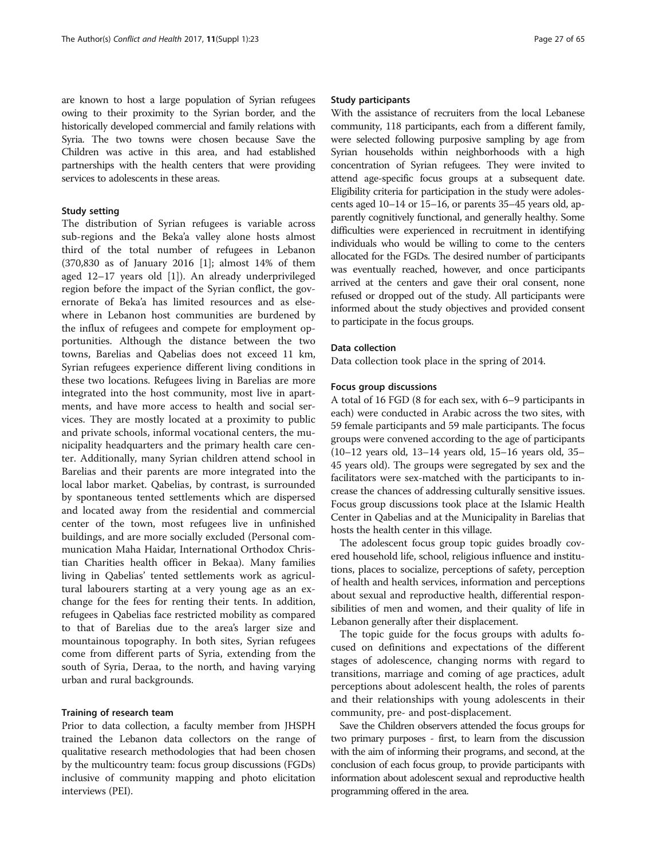are known to host a large population of Syrian refugees owing to their proximity to the Syrian border, and the historically developed commercial and family relations with Syria. The two towns were chosen because Save the Children was active in this area, and had established partnerships with the health centers that were providing services to adolescents in these areas.

## Study setting

The distribution of Syrian refugees is variable across sub-regions and the Beka'a valley alone hosts almost third of the total number of refugees in Lebanon (370,830 as of January 2016 [[1\]](#page-9-0); almost 14% of them aged 12–17 years old [\[1](#page-9-0)]). An already underprivileged region before the impact of the Syrian conflict, the governorate of Beka'a has limited resources and as elsewhere in Lebanon host communities are burdened by the influx of refugees and compete for employment opportunities. Although the distance between the two towns, Barelias and Qabelias does not exceed 11 km, Syrian refugees experience different living conditions in these two locations. Refugees living in Barelias are more integrated into the host community, most live in apartments, and have more access to health and social services. They are mostly located at a proximity to public and private schools, informal vocational centers, the municipality headquarters and the primary health care center. Additionally, many Syrian children attend school in Barelias and their parents are more integrated into the local labor market. Qabelias, by contrast, is surrounded by spontaneous tented settlements which are dispersed and located away from the residential and commercial center of the town, most refugees live in unfinished buildings, and are more socially excluded (Personal communication Maha Haidar, International Orthodox Christian Charities health officer in Bekaa). Many families living in Qabelias' tented settlements work as agricultural labourers starting at a very young age as an exchange for the fees for renting their tents. In addition, refugees in Qabelias face restricted mobility as compared to that of Barelias due to the area's larger size and mountainous topography. In both sites, Syrian refugees come from different parts of Syria, extending from the south of Syria, Deraa, to the north, and having varying urban and rural backgrounds.

## Training of research team

Prior to data collection, a faculty member from JHSPH trained the Lebanon data collectors on the range of qualitative research methodologies that had been chosen by the multicountry team: focus group discussions (FGDs) inclusive of community mapping and photo elicitation interviews (PEI).

### Study participants

With the assistance of recruiters from the local Lebanese community, 118 participants, each from a different family, were selected following purposive sampling by age from Syrian households within neighborhoods with a high concentration of Syrian refugees. They were invited to attend age-specific focus groups at a subsequent date. Eligibility criteria for participation in the study were adolescents aged 10–14 or 15–16, or parents 35–45 years old, apparently cognitively functional, and generally healthy. Some difficulties were experienced in recruitment in identifying individuals who would be willing to come to the centers allocated for the FGDs. The desired number of participants was eventually reached, however, and once participants arrived at the centers and gave their oral consent, none refused or dropped out of the study. All participants were informed about the study objectives and provided consent to participate in the focus groups.

## Data collection

Data collection took place in the spring of 2014.

## Focus group discussions

A total of 16 FGD (8 for each sex, with 6–9 participants in each) were conducted in Arabic across the two sites, with 59 female participants and 59 male participants. The focus groups were convened according to the age of participants (10–12 years old, 13–14 years old, 15–16 years old, 35– 45 years old). The groups were segregated by sex and the facilitators were sex-matched with the participants to increase the chances of addressing culturally sensitive issues. Focus group discussions took place at the Islamic Health Center in Qabelias and at the Municipality in Barelias that hosts the health center in this village.

The adolescent focus group topic guides broadly covered household life, school, religious influence and institutions, places to socialize, perceptions of safety, perception of health and health services, information and perceptions about sexual and reproductive health, differential responsibilities of men and women, and their quality of life in Lebanon generally after their displacement.

The topic guide for the focus groups with adults focused on definitions and expectations of the different stages of adolescence, changing norms with regard to transitions, marriage and coming of age practices, adult perceptions about adolescent health, the roles of parents and their relationships with young adolescents in their community, pre- and post-displacement.

Save the Children observers attended the focus groups for two primary purposes - first, to learn from the discussion with the aim of informing their programs, and second, at the conclusion of each focus group, to provide participants with information about adolescent sexual and reproductive health programming offered in the area.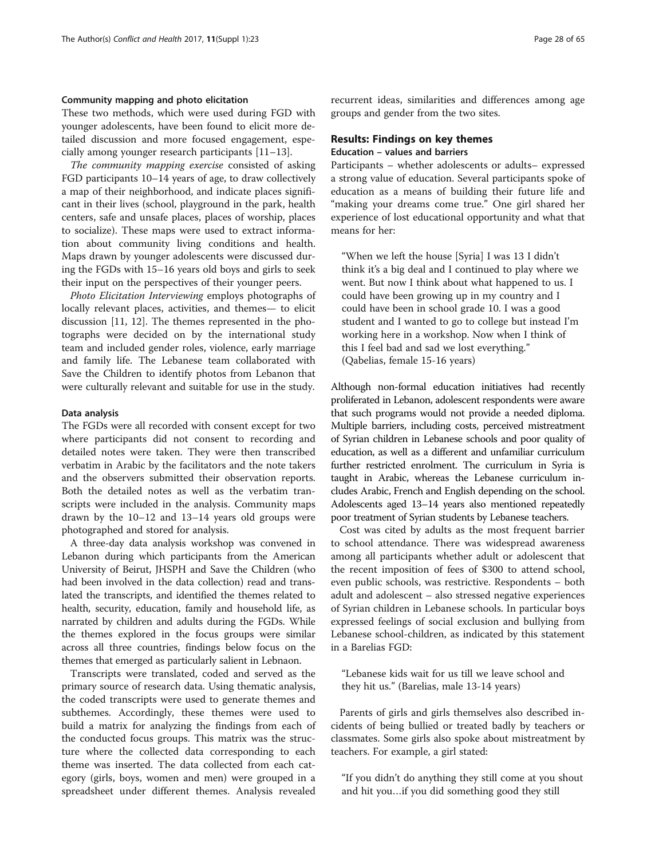## Community mapping and photo elicitation

These two methods, which were used during FGD with younger adolescents, have been found to elicit more detailed discussion and more focused engagement, especially among younger research participants [\[11](#page-9-0)–[13\]](#page-9-0).

The community mapping exercise consisted of asking FGD participants 10–14 years of age, to draw collectively a map of their neighborhood, and indicate places significant in their lives (school, playground in the park, health centers, safe and unsafe places, places of worship, places to socialize). These maps were used to extract information about community living conditions and health. Maps drawn by younger adolescents were discussed during the FGDs with 15–16 years old boys and girls to seek their input on the perspectives of their younger peers.

Photo Elicitation Interviewing employs photographs of locally relevant places, activities, and themes— to elicit discussion [\[11](#page-9-0), [12\]](#page-9-0). The themes represented in the photographs were decided on by the international study team and included gender roles, violence, early marriage and family life. The Lebanese team collaborated with Save the Children to identify photos from Lebanon that were culturally relevant and suitable for use in the study.

## Data analysis

The FGDs were all recorded with consent except for two where participants did not consent to recording and detailed notes were taken. They were then transcribed verbatim in Arabic by the facilitators and the note takers and the observers submitted their observation reports. Both the detailed notes as well as the verbatim transcripts were included in the analysis. Community maps drawn by the 10–12 and 13–14 years old groups were photographed and stored for analysis.

A three-day data analysis workshop was convened in Lebanon during which participants from the American University of Beirut, JHSPH and Save the Children (who had been involved in the data collection) read and translated the transcripts, and identified the themes related to health, security, education, family and household life, as narrated by children and adults during the FGDs. While the themes explored in the focus groups were similar across all three countries, findings below focus on the themes that emerged as particularly salient in Lebnaon.

Transcripts were translated, coded and served as the primary source of research data. Using thematic analysis, the coded transcripts were used to generate themes and subthemes. Accordingly, these themes were used to build a matrix for analyzing the findings from each of the conducted focus groups. This matrix was the structure where the collected data corresponding to each theme was inserted. The data collected from each category (girls, boys, women and men) were grouped in a spreadsheet under different themes. Analysis revealed recurrent ideas, similarities and differences among age groups and gender from the two sites.

## Results: Findings on key themes Education – values and barriers

Participants – whether adolescents or adults– expressed a strong value of education. Several participants spoke of education as a means of building their future life and "making your dreams come true." One girl shared her experience of lost educational opportunity and what that means for her:

"When we left the house [Syria] I was 13 I didn't think it's a big deal and I continued to play where we went. But now I think about what happened to us. I could have been growing up in my country and I could have been in school grade 10. I was a good student and I wanted to go to college but instead I'm working here in a workshop. Now when I think of this I feel bad and sad we lost everything." (Qabelias, female 15-16 years)

Although non-formal education initiatives had recently proliferated in Lebanon, adolescent respondents were aware that such programs would not provide a needed diploma. Multiple barriers, including costs, perceived mistreatment of Syrian children in Lebanese schools and poor quality of education, as well as a different and unfamiliar curriculum further restricted enrolment. The curriculum in Syria is taught in Arabic, whereas the Lebanese curriculum includes Arabic, French and English depending on the school. Adolescents aged 13–14 years also mentioned repeatedly poor treatment of Syrian students by Lebanese teachers.

Cost was cited by adults as the most frequent barrier to school attendance. There was widespread awareness among all participants whether adult or adolescent that the recent imposition of fees of \$300 to attend school, even public schools, was restrictive. Respondents – both adult and adolescent – also stressed negative experiences of Syrian children in Lebanese schools. In particular boys expressed feelings of social exclusion and bullying from Lebanese school-children, as indicated by this statement in a Barelias FGD:

"Lebanese kids wait for us till we leave school and they hit us." (Barelias, male 13-14 years)

Parents of girls and girls themselves also described incidents of being bullied or treated badly by teachers or classmates. Some girls also spoke about mistreatment by teachers. For example, a girl stated:

"If you didn't do anything they still come at you shout and hit you…if you did something good they still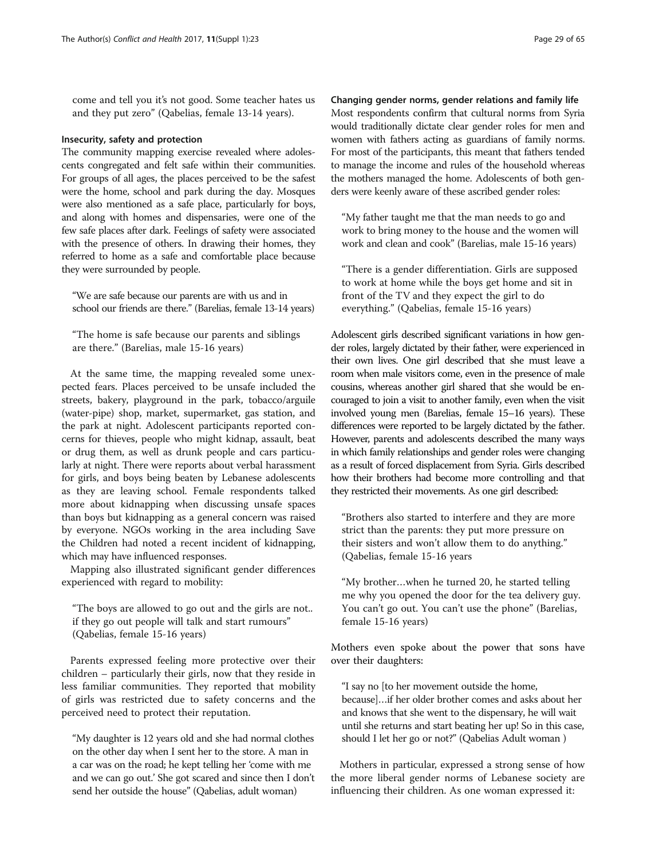come and tell you it's not good. Some teacher hates us and they put zero" (Qabelias, female 13-14 years).

#### Insecurity, safety and protection

The community mapping exercise revealed where adolescents congregated and felt safe within their communities. For groups of all ages, the places perceived to be the safest were the home, school and park during the day. Mosques were also mentioned as a safe place, particularly for boys, and along with homes and dispensaries, were one of the few safe places after dark. Feelings of safety were associated with the presence of others. In drawing their homes, they referred to home as a safe and comfortable place because they were surrounded by people.

"We are safe because our parents are with us and in school our friends are there." (Barelias, female 13-14 years)

"The home is safe because our parents and siblings are there." (Barelias, male 15-16 years)

At the same time, the mapping revealed some unexpected fears. Places perceived to be unsafe included the streets, bakery, playground in the park, tobacco/arguile (water-pipe) shop, market, supermarket, gas station, and the park at night. Adolescent participants reported concerns for thieves, people who might kidnap, assault, beat or drug them, as well as drunk people and cars particularly at night. There were reports about verbal harassment for girls, and boys being beaten by Lebanese adolescents as they are leaving school. Female respondents talked more about kidnapping when discussing unsafe spaces than boys but kidnapping as a general concern was raised by everyone. NGOs working in the area including Save the Children had noted a recent incident of kidnapping, which may have influenced responses.

Mapping also illustrated significant gender differences experienced with regard to mobility:

"The boys are allowed to go out and the girls are not.. if they go out people will talk and start rumours" (Qabelias, female 15-16 years)

Parents expressed feeling more protective over their children – particularly their girls, now that they reside in less familiar communities. They reported that mobility of girls was restricted due to safety concerns and the perceived need to protect their reputation.

"My daughter is 12 years old and she had normal clothes on the other day when I sent her to the store. A man in a car was on the road; he kept telling her 'come with me and we can go out.' She got scared and since then I don't send her outside the house" (Qabelias, adult woman)

Changing gender norms, gender relations and family life Most respondents confirm that cultural norms from Syria would traditionally dictate clear gender roles for men and women with fathers acting as guardians of family norms. For most of the participants, this meant that fathers tended to manage the income and rules of the household whereas the mothers managed the home. Adolescents of both genders were keenly aware of these ascribed gender roles:

"My father taught me that the man needs to go and work to bring money to the house and the women will work and clean and cook" (Barelias, male 15-16 years)

"There is a gender differentiation. Girls are supposed to work at home while the boys get home and sit in front of the TV and they expect the girl to do everything." (Qabelias, female 15-16 years)

Adolescent girls described significant variations in how gender roles, largely dictated by their father, were experienced in their own lives. One girl described that she must leave a room when male visitors come, even in the presence of male cousins, whereas another girl shared that she would be encouraged to join a visit to another family, even when the visit involved young men (Barelias, female 15–16 years). These differences were reported to be largely dictated by the father. However, parents and adolescents described the many ways in which family relationships and gender roles were changing as a result of forced displacement from Syria. Girls described how their brothers had become more controlling and that they restricted their movements. As one girl described:

"Brothers also started to interfere and they are more strict than the parents: they put more pressure on their sisters and won't allow them to do anything." (Qabelias, female 15-16 years

"My brother…when he turned 20, he started telling me why you opened the door for the tea delivery guy. You can't go out. You can't use the phone" (Barelias, female 15-16 years)

Mothers even spoke about the power that sons have over their daughters:

"I say no [to her movement outside the home, because]…if her older brother comes and asks about her and knows that she went to the dispensary, he will wait until she returns and start beating her up! So in this case, should I let her go or not?" (Qabelias Adult woman )

Mothers in particular, expressed a strong sense of how the more liberal gender norms of Lebanese society are influencing their children. As one woman expressed it: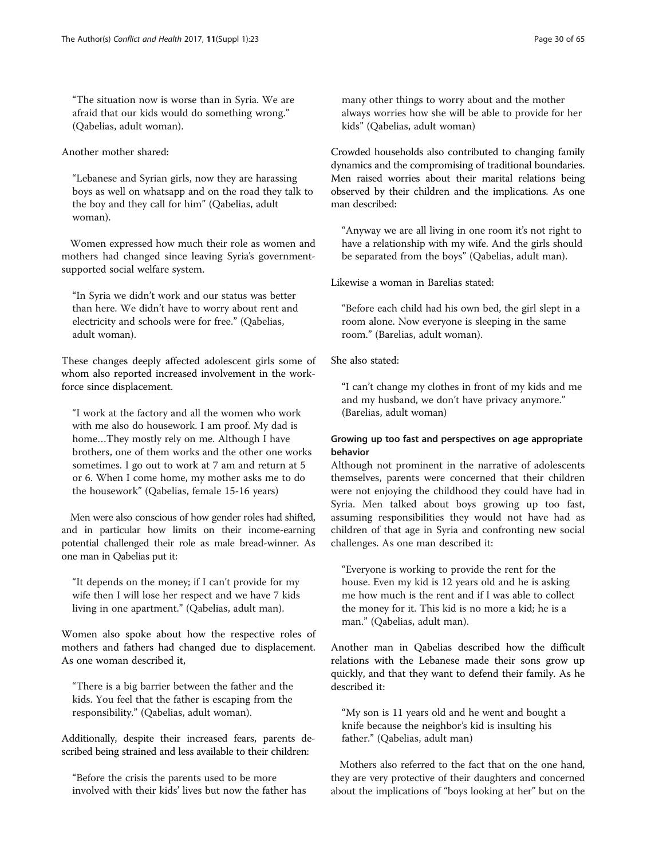"The situation now is worse than in Syria. We are afraid that our kids would do something wrong." (Qabelias, adult woman).

Another mother shared:

"Lebanese and Syrian girls, now they are harassing boys as well on whatsapp and on the road they talk to the boy and they call for him" (Qabelias, adult woman).

Women expressed how much their role as women and mothers had changed since leaving Syria's governmentsupported social welfare system.

"In Syria we didn't work and our status was better than here. We didn't have to worry about rent and electricity and schools were for free." (Qabelias, adult woman).

These changes deeply affected adolescent girls some of whom also reported increased involvement in the workforce since displacement.

"I work at the factory and all the women who work with me also do housework. I am proof. My dad is home…They mostly rely on me. Although I have brothers, one of them works and the other one works sometimes. I go out to work at 7 am and return at 5 or 6. When I come home, my mother asks me to do the housework" (Qabelias, female 15-16 years)

Men were also conscious of how gender roles had shifted, and in particular how limits on their income-earning potential challenged their role as male bread-winner. As one man in Qabelias put it:

"It depends on the money; if I can't provide for my wife then I will lose her respect and we have 7 kids living in one apartment." (Qabelias, adult man).

Women also spoke about how the respective roles of mothers and fathers had changed due to displacement. As one woman described it,

"There is a big barrier between the father and the kids. You feel that the father is escaping from the responsibility." (Qabelias, adult woman).

Additionally, despite their increased fears, parents described being strained and less available to their children:

"Before the crisis the parents used to be more involved with their kids' lives but now the father has many other things to worry about and the mother always worries how she will be able to provide for her kids" (Qabelias, adult woman)

Crowded households also contributed to changing family dynamics and the compromising of traditional boundaries. Men raised worries about their marital relations being observed by their children and the implications. As one man described:

"Anyway we are all living in one room it's not right to have a relationship with my wife. And the girls should be separated from the boys" (Qabelias, adult man).

Likewise a woman in Barelias stated:

"Before each child had his own bed, the girl slept in a room alone. Now everyone is sleeping in the same room." (Barelias, adult woman).

## She also stated:

"I can't change my clothes in front of my kids and me and my husband, we don't have privacy anymore." (Barelias, adult woman)

## Growing up too fast and perspectives on age appropriate behavior

Although not prominent in the narrative of adolescents themselves, parents were concerned that their children were not enjoying the childhood they could have had in Syria. Men talked about boys growing up too fast, assuming responsibilities they would not have had as children of that age in Syria and confronting new social challenges. As one man described it:

"Everyone is working to provide the rent for the house. Even my kid is 12 years old and he is asking me how much is the rent and if I was able to collect the money for it. This kid is no more a kid; he is a man." (Qabelias, adult man).

Another man in Qabelias described how the difficult relations with the Lebanese made their sons grow up quickly, and that they want to defend their family. As he described it:

"My son is 11 years old and he went and bought a knife because the neighbor's kid is insulting his father." (Qabelias, adult man)

Mothers also referred to the fact that on the one hand, they are very protective of their daughters and concerned about the implications of "boys looking at her" but on the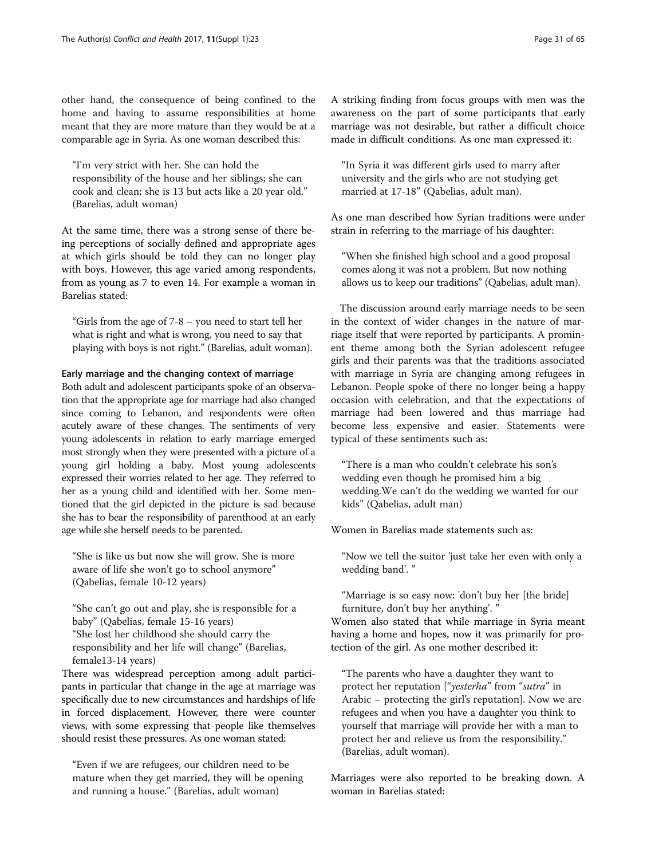other hand, the consequence of being confined to the home and having to assume responsibilities at home meant that they are more mature than they would be at a comparable age in Syria. As one woman described this:

"I'm very strict with her. She can hold the responsibility of the house and her siblings; she can cook and clean; she is 13 but acts like a 20 year old." (Barelias, adult woman)

At the same time, there was a strong sense of there being perceptions of socially defined and appropriate ages at which girls should be told they can no longer play with boys. However, this age varied among respondents, from as young as 7 to even 14. For example a woman in Barelias stated:

"Girls from the age of 7-8 – you need to start tell her what is right and what is wrong, you need to say that playing with boys is not right." (Barelias, adult woman).

## Early marriage and the changing context of marriage

Both adult and adolescent participants spoke of an observation that the appropriate age for marriage had also changed since coming to Lebanon, and respondents were often acutely aware of these changes. The sentiments of very young adolescents in relation to early marriage emerged most strongly when they were presented with a picture of a young girl holding a baby. Most young adolescents expressed their worries related to her age. They referred to her as a young child and identified with her. Some mentioned that the girl depicted in the picture is sad because she has to bear the responsibility of parenthood at an early age while she herself needs to be parented.

"She is like us but now she will grow. She is more aware of life she won't go to school anymore" (Qabelias, female 10-12 years)

"She can't go out and play, she is responsible for a baby" (Qabelias, female 15-16 years) "She lost her childhood she should carry the responsibility and her life will change" (Barelias, female13-14 years)

There was widespread perception among adult participants in particular that change in the age at marriage was specifically due to new circumstances and hardships of life in forced displacement. However, there were counter views, with some expressing that people like themselves should resist these pressures. As one woman stated:

"Even if we are refugees, our children need to be mature when they get married, they will be opening and running a house." (Barelias, adult woman)

A striking finding from focus groups with men was the awareness on the part of some participants that early marriage was not desirable, but rather a difficult choice made in difficult conditions. As one man expressed it:

"In Syria it was different girls used to marry after university and the girls who are not studying get married at 17-18" (Qabelias, adult man).

As one man described how Syrian traditions were under strain in referring to the marriage of his daughter:

"When she finished high school and a good proposal comes along it was not a problem. But now nothing allows us to keep our traditions" (Qabelias, adult man).

The discussion around early marriage needs to be seen in the context of wider changes in the nature of marriage itself that were reported by participants. A prominent theme among both the Syrian adolescent refugee girls and their parents was that the traditions associated with marriage in Syria are changing among refugees in Lebanon. People spoke of there no longer being a happy occasion with celebration, and that the expectations of marriage had been lowered and thus marriage had become less expensive and easier. Statements were typical of these sentiments such as:

"There is a man who couldn't celebrate his son's wedding even though he promised him a big wedding.We can't do the wedding we wanted for our kids" (Qabelias, adult man)

Women in Barelias made statements such as:

"Now we tell the suitor 'just take her even with only a wedding band'. "

"Marriage is so easy now: 'don't buy her [the bride] furniture, don't buy her anything'. "

Women also stated that while marriage in Syria meant having a home and hopes, now it was primarily for protection of the girl. As one mother described it:

"The parents who have a daughter they want to protect her reputation ["yesterha" from "sutra" in Arabic – protecting the girl's reputation]. Now we are refugees and when you have a daughter you think to yourself that marriage will provide her with a man to protect her and relieve us from the responsibility." (Barelias, adult woman).

Marriages were also reported to be breaking down. A woman in Barelias stated: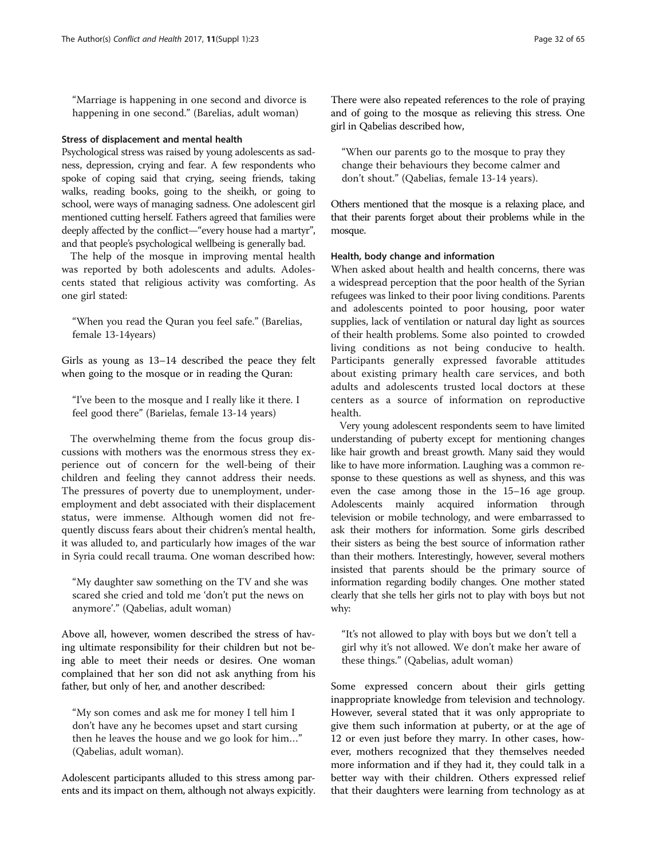"Marriage is happening in one second and divorce is happening in one second." (Barelias, adult woman)

## Stress of displacement and mental health

Psychological stress was raised by young adolescents as sadness, depression, crying and fear. A few respondents who spoke of coping said that crying, seeing friends, taking walks, reading books, going to the sheikh, or going to school, were ways of managing sadness. One adolescent girl mentioned cutting herself. Fathers agreed that families were deeply affected by the conflict—"every house had a martyr", and that people's psychological wellbeing is generally bad.

The help of the mosque in improving mental health was reported by both adolescents and adults. Adolescents stated that religious activity was comforting. As one girl stated:

"When you read the Quran you feel safe." (Barelias, female 13-14years)

Girls as young as 13–14 described the peace they felt when going to the mosque or in reading the Quran:

"I've been to the mosque and I really like it there. I feel good there" (Barielas, female 13-14 years)

The overwhelming theme from the focus group discussions with mothers was the enormous stress they experience out of concern for the well-being of their children and feeling they cannot address their needs. The pressures of poverty due to unemployment, underemployment and debt associated with their displacement status, were immense. Although women did not frequently discuss fears about their chidren's mental health, it was alluded to, and particularly how images of the war in Syria could recall trauma. One woman described how:

"My daughter saw something on the TV and she was scared she cried and told me 'don't put the news on anymore'." (Qabelias, adult woman)

Above all, however, women described the stress of having ultimate responsibility for their children but not being able to meet their needs or desires. One woman complained that her son did not ask anything from his father, but only of her, and another described:

"My son comes and ask me for money I tell him I don't have any he becomes upset and start cursing then he leaves the house and we go look for him…" (Qabelias, adult woman).

Adolescent participants alluded to this stress among parents and its impact on them, although not always expicitly.

There were also repeated references to the role of praying and of going to the mosque as relieving this stress. One girl in Qabelias described how,

"When our parents go to the mosque to pray they change their behaviours they become calmer and don't shout." (Qabelias, female 13-14 years).

Others mentioned that the mosque is a relaxing place, and that their parents forget about their problems while in the mosque.

## Health, body change and information

When asked about health and health concerns, there was a widespread perception that the poor health of the Syrian refugees was linked to their poor living conditions. Parents and adolescents pointed to poor housing, poor water supplies, lack of ventilation or natural day light as sources of their health problems. Some also pointed to crowded living conditions as not being conducive to health. Participants generally expressed favorable attitudes about existing primary health care services, and both adults and adolescents trusted local doctors at these centers as a source of information on reproductive health.

Very young adolescent respondents seem to have limited understanding of puberty except for mentioning changes like hair growth and breast growth. Many said they would like to have more information. Laughing was a common response to these questions as well as shyness, and this was even the case among those in the 15–16 age group. Adolescents mainly acquired information through television or mobile technology, and were embarrassed to ask their mothers for information. Some girls described their sisters as being the best source of information rather than their mothers. Interestingly, however, several mothers insisted that parents should be the primary source of information regarding bodily changes. One mother stated clearly that she tells her girls not to play with boys but not why:

"It's not allowed to play with boys but we don't tell a girl why it's not allowed. We don't make her aware of these things." (Qabelias, adult woman)

Some expressed concern about their girls getting inappropriate knowledge from television and technology. However, several stated that it was only appropriate to give them such information at puberty, or at the age of 12 or even just before they marry. In other cases, however, mothers recognized that they themselves needed more information and if they had it, they could talk in a better way with their children. Others expressed relief that their daughters were learning from technology as at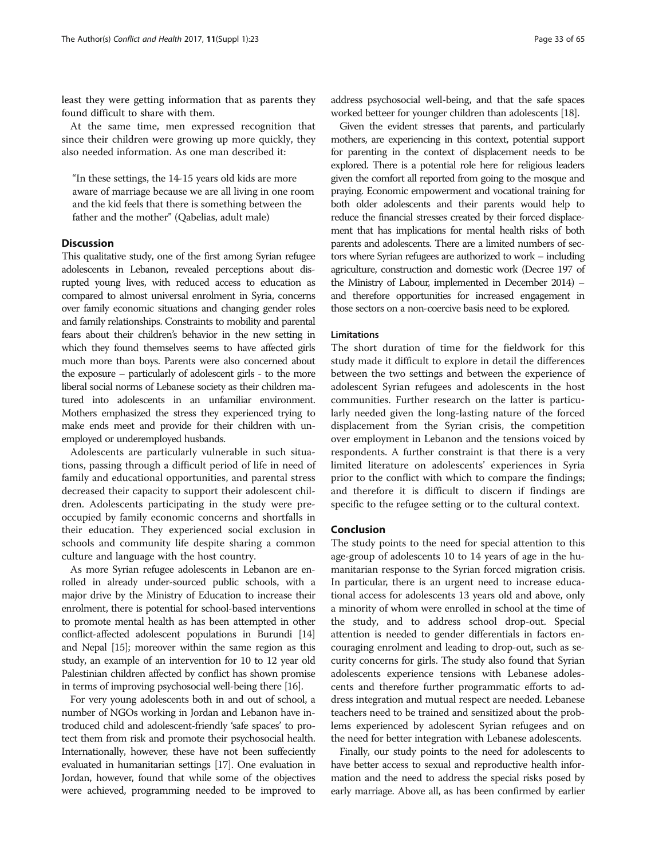least they were getting information that as parents they found difficult to share with them.

At the same time, men expressed recognition that since their children were growing up more quickly, they also needed information. As one man described it:

"In these settings, the 14-15 years old kids are more aware of marriage because we are all living in one room and the kid feels that there is something between the father and the mother" (Qabelias, adult male)

## **Discussion**

This qualitative study, one of the first among Syrian refugee adolescents in Lebanon, revealed perceptions about disrupted young lives, with reduced access to education as compared to almost universal enrolment in Syria, concerns over family economic situations and changing gender roles and family relationships. Constraints to mobility and parental fears about their children's behavior in the new setting in which they found themselves seems to have affected girls much more than boys. Parents were also concerned about the exposure – particularly of adolescent girls - to the more liberal social norms of Lebanese society as their children matured into adolescents in an unfamiliar environment. Mothers emphasized the stress they experienced trying to make ends meet and provide for their children with unemployed or underemployed husbands.

Adolescents are particularly vulnerable in such situations, passing through a difficult period of life in need of family and educational opportunities, and parental stress decreased their capacity to support their adolescent children. Adolescents participating in the study were preoccupied by family economic concerns and shortfalls in their education. They experienced social exclusion in schools and community life despite sharing a common culture and language with the host country.

As more Syrian refugee adolescents in Lebanon are enrolled in already under-sourced public schools, with a major drive by the Ministry of Education to increase their enrolment, there is potential for school-based interventions to promote mental health as has been attempted in other conflict-affected adolescent populations in Burundi [\[14](#page-9-0)] and Nepal [[15\]](#page-9-0); moreover within the same region as this study, an example of an intervention for 10 to 12 year old Palestinian children affected by conflict has shown promise in terms of improving psychosocial well-being there [[16](#page-9-0)].

For very young adolescents both in and out of school, a number of NGOs working in Jordan and Lebanon have introduced child and adolescent-friendly 'safe spaces' to protect them from risk and promote their psychosocial health. Internationally, however, these have not been suffeciently evaluated in humanitarian settings [[17\]](#page-9-0). One evaluation in Jordan, however, found that while some of the objectives were achieved, programming needed to be improved to

address psychosocial well-being, and that the safe spaces worked betteer for younger children than adolescents [\[18\]](#page-9-0).

Given the evident stresses that parents, and particularly mothers, are experiencing in this context, potential support for parenting in the context of displacement needs to be explored. There is a potential role here for religious leaders given the comfort all reported from going to the mosque and praying. Economic empowerment and vocational training for both older adolescents and their parents would help to reduce the financial stresses created by their forced displacement that has implications for mental health risks of both parents and adolescents. There are a limited numbers of sectors where Syrian refugees are authorized to work – including agriculture, construction and domestic work (Decree 197 of the Ministry of Labour, implemented in December 2014) – and therefore opportunities for increased engagement in those sectors on a non-coercive basis need to be explored.

## Limitations

The short duration of time for the fieldwork for this study made it difficult to explore in detail the differences between the two settings and between the experience of adolescent Syrian refugees and adolescents in the host communities. Further research on the latter is particularly needed given the long-lasting nature of the forced displacement from the Syrian crisis, the competition over employment in Lebanon and the tensions voiced by respondents. A further constraint is that there is a very limited literature on adolescents' experiences in Syria prior to the conflict with which to compare the findings; and therefore it is difficult to discern if findings are specific to the refugee setting or to the cultural context.

## Conclusion

The study points to the need for special attention to this age-group of adolescents 10 to 14 years of age in the humanitarian response to the Syrian forced migration crisis. In particular, there is an urgent need to increase educational access for adolescents 13 years old and above, only a minority of whom were enrolled in school at the time of the study, and to address school drop-out. Special attention is needed to gender differentials in factors encouraging enrolment and leading to drop-out, such as security concerns for girls. The study also found that Syrian adolescents experience tensions with Lebanese adolescents and therefore further programmatic efforts to address integration and mutual respect are needed. Lebanese teachers need to be trained and sensitized about the problems experienced by adolescent Syrian refugees and on the need for better integration with Lebanese adolescents.

Finally, our study points to the need for adolescents to have better access to sexual and reproductive health information and the need to address the special risks posed by early marriage. Above all, as has been confirmed by earlier